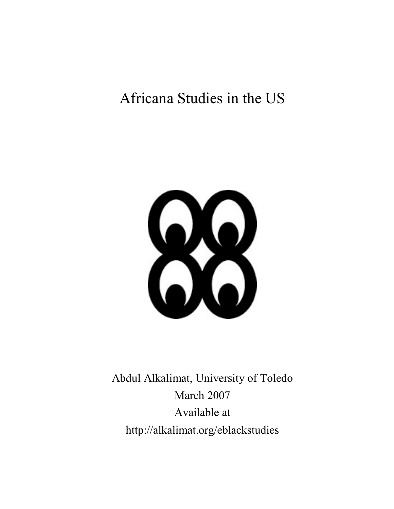# Africana Studies in the US



Abdul Alkalimat, University of Toledo March 2007 Available at http://alkalimat.org/eblackstudies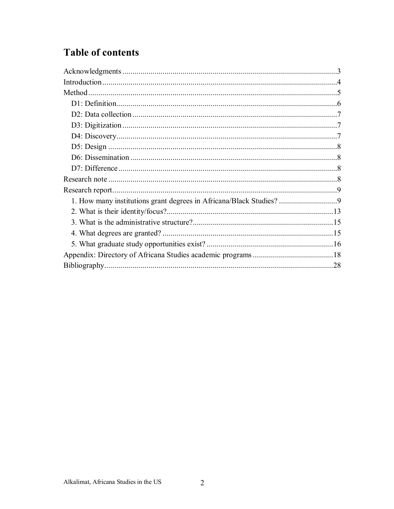## **Table of contents**

| 1. How many institutions grant degrees in Africana/Black Studies? |  |
|-------------------------------------------------------------------|--|
|                                                                   |  |
|                                                                   |  |
|                                                                   |  |
|                                                                   |  |
|                                                                   |  |
|                                                                   |  |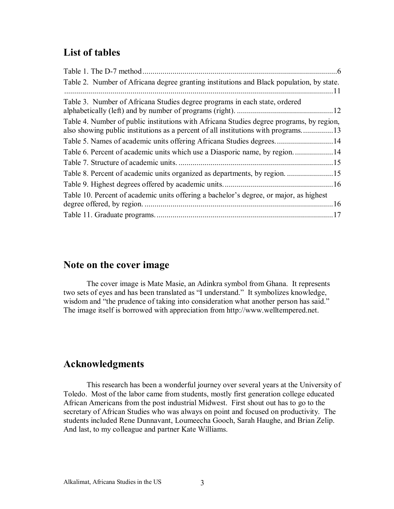### **List of tables**

|                                                                                          | 6    |
|------------------------------------------------------------------------------------------|------|
| Table 2. Number of Africana degree granting institutions and Black population, by state. |      |
|                                                                                          |      |
| Table 3. Number of Africana Studies degree programs in each state, ordered               |      |
|                                                                                          |      |
| Table 4. Number of public institutions with Africana Studies degree programs, by region, |      |
| also showing public institutions as a percent of all institutions with programs13        |      |
|                                                                                          |      |
|                                                                                          |      |
|                                                                                          |      |
|                                                                                          |      |
|                                                                                          |      |
| Table 10. Percent of academic units offering a bachelor's degree, or major, as highest   |      |
|                                                                                          | . 16 |
|                                                                                          |      |

### **Note on the cover image**

The cover image is Mate Masie, an Adinkra symbol from Ghana. It represents two sets of eyes and has been translated as "I understand." It symbolizes knowledge, wisdom and "the prudence of taking into consideration what another person has said." The image itself is borrowed with appreciation from http://www.welltempered.net.

### **Acknowledgments**

This research has been a wonderful journey over several years at the University of Toledo. Most of the labor came from students, mostly first generation college educated African Americans from the post industrial Midwest. First shout out has to go to the secretary of African Studies who was always on point and focused on productivity. The students included Rene Dunnavant, Loumeecha Gooch, Sarah Haughe, and Brian Zelip. And last, to my colleague and partner Kate Williams.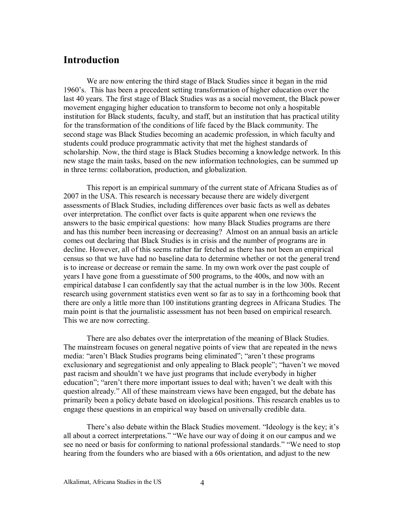### **Introduction**

We are now entering the third stage of Black Studies since it began in the mid 1960's. This has been a precedent setting transformation of higher education over the last 40 years. The first stage of Black Studies was as a social movement, the Black power movement engaging higher education to transform to become not only a hospitable institution for Black students, faculty, and staff, but an institution that has practical utility for the transformation of the conditions of life faced by the Black community. The second stage was Black Studies becoming an academic profession, in which faculty and students could produce programmatic activity that met the highest standards of scholarship. Now, the third stage is Black Studies becoming a knowledge network. In this new stage the main tasks, based on the new information technologies, can be summed up in three terms: collaboration, production, and globalization.

This report is an empirical summary of the current state of Africana Studies as of 2007 in the USA. This research is necessary because there are widely divergent assessments of Black Studies, including differences over basic facts as well as debates over interpretation. The conflict over facts is quite apparent when one reviews the answers to the basic empirical questions: how many Black Studies programs are there and has this number been increasing or decreasing? Almost on an annual basis an article comes out declaring that Black Studies is in crisis and the number of programs are in decline. However, all of this seems rather far fetched as there has not been an empirical census so that we have had no baseline data to determine whether or not the general trend is to increase or decrease or remain the same. In my own work over the past couple of years I have gone from a guesstimate of 500 programs, to the 400s, and now with an empirical database I can confidently say that the actual number is in the low 300s. Recent research using government statistics even went so far as to say in a forthcoming book that there are only a little more than 100 institutions granting degrees in Africana Studies. The main point is that the journalistic assessment has not been based on empirical research. This we are now correcting.

There are also debates over the interpretation of the meaning of Black Studies. The mainstream focuses on general negative points of view that are repeated in the news media: "aren't Black Studies programs being eliminated"; "aren't these programs exclusionary and segregationist and only appealing to Black people"; "haven't we moved past racism and shouldn't we have just programs that include everybody in higher education"; "aren't there more important issues to deal with; haven't we dealt with this question already." All of these mainstream views have been engaged, but the debate has primarily been a policy debate based on ideological positions. This research enables us to engage these questions in an empirical way based on universally credible data.

There's also debate within the Black Studies movement. "Ideology is the key; it's all about a correct interpretations." "We have our way of doing it on our campus and we see no need or basis for conforming to national professional standards." "We need to stop hearing from the founders who are biased with a 60s orientation, and adjust to the new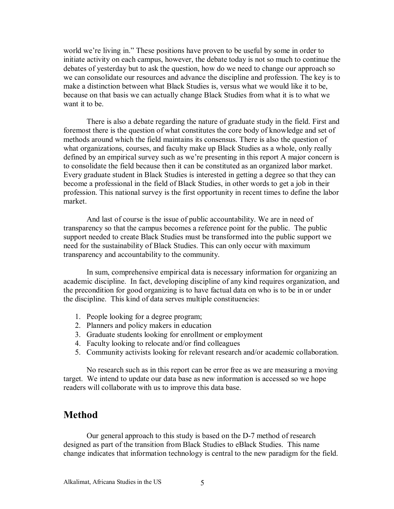world we're living in." These positions have proven to be useful by some in order to initiate activity on each campus, however, the debate today is not so much to continue the debates of yesterday but to ask the question, how do we need to change our approach so we can consolidate our resources and advance the discipline and profession. The key is to make a distinction between what Black Studies is, versus what we would like it to be, because on that basis we can actually change Black Studies from what it is to what we want it to be.

There is also a debate regarding the nature of graduate study in the field. First and foremost there is the question of what constitutes the core body of knowledge and set of methods around which the field maintains its consensus. There is also the question of what organizations, courses, and faculty make up Black Studies as a whole, only really defined by an empirical survey such as we're presenting in this report A major concern is to consolidate the field because then it can be constituted as an organized labor market. Every graduate student in Black Studies is interested in getting a degree so that they can become a professional in the field of Black Studies, in other words to get a job in their profession. This national survey is the first opportunity in recent times to define the labor market.

And last of course is the issue of public accountability. We are in need of transparency so that the campus becomes a reference point for the public. The public support needed to create Black Studies must be transformed into the public support we need for the sustainability of Black Studies. This can only occur with maximum transparency and accountability to the community.

In sum, comprehensive empirical data is necessary information for organizing an academic discipline. In fact, developing discipline of any kind requires organization, and the precondition for good organizing is to have factual data on who is to be in or under the discipline. This kind of data serves multiple constituencies:

- 1. People looking for a degree program;
- 2. Planners and policy makers in education
- 3. Graduate students looking for enrollment or employment
- 4. Faculty looking to relocate and/or find colleagues
- 5. Community activists looking for relevant research and/or academic collaboration.

No research such as in this report can be error free as we are measuring a moving target. We intend to update our data base as new information is accessed so we hope readers will collaborate with us to improve this data base.

### **Method**

Our general approach to this study is based on the D-7 method of research designed as part of the transition from Black Studies to eBlack Studies. This name change indicates that information technology is central to the new paradigm for the field.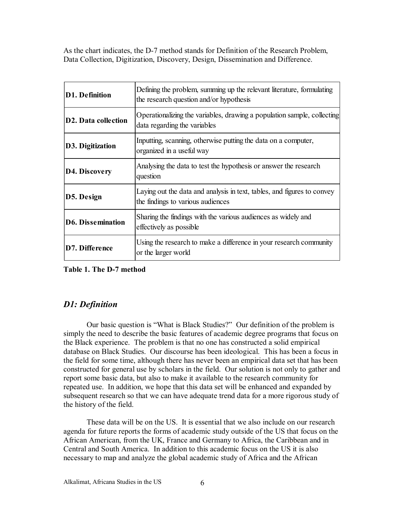As the chart indicates, the D-7 method stands for Definition of the Research Problem, Data Collection, Digitization, Discovery, Design, Dissemination and Difference.

| <b>D1. Definition</b>      | Defining the problem, summing up the relevant literature, formulating<br>the research question and/or hypothesis |
|----------------------------|------------------------------------------------------------------------------------------------------------------|
| <b>D2. Data collection</b> | Operationalizing the variables, drawing a population sample, collecting<br>data regarding the variables          |
| D3. Digitization           | Inputting, scanning, otherwise putting the data on a computer,<br>organized in a useful way                      |
| D4. Discovery              | Analysing the data to test the hypothesis or answer the research<br>question                                     |
| D5. Design                 | Laying out the data and analysis in text, tables, and figures to convey<br>the findings to various audiences     |
| <b>D6. Dissemination</b>   | Sharing the findings with the various audiences as widely and<br>effectively as possible.                        |
| D7. Difference             | Using the research to make a difference in your research community<br>or the larger world                        |

**Table 1. The D-7 method** 

### *D1: Definition*

Our basic question is "What is Black Studies?" Our definition of the problem is simply the need to describe the basic features of academic degree programs that focus on the Black experience. The problem is that no one has constructed a solid empirical database on Black Studies. Our discourse has been ideological. This has been a focus in the field for some time, although there has never been an empirical data set that has been constructed for general use by scholars in the field. Our solution is not only to gather and report some basic data, but also to make it available to the research community for repeated use. In addition, we hope that this data set will be enhanced and expanded by subsequent research so that we can have adequate trend data for a more rigorous study of the history of the field.

These data will be on the US. It is essential that we also include on our research agenda for future reports the forms of academic study outside of the US that focus on the African American, from the UK, France and Germany to Africa, the Caribbean and in Central and South America. In addition to this academic focus on the US it is also necessary to map and analyze the global academic study of Africa and the African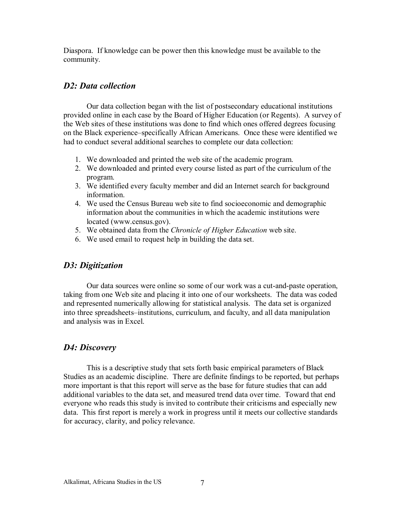Diaspora. If knowledge can be power then this knowledge must be available to the community.

### *D2: Data collection*

Our data collection began with the list of postsecondary educational institutions provided online in each case by the Board of Higher Education (or Regents). A survey of the Web sites of these institutions was done to find which ones offered degrees focusing on the Black experience–specifically African Americans. Once these were identified we had to conduct several additional searches to complete our data collection:

- 1. We downloaded and printed the web site of the academic program.
- 2. We downloaded and printed every course listed as part of the curriculum of the program.
- 3. We identified every faculty member and did an Internet search for background information.
- 4. We used the Census Bureau web site to find socioeconomic and demographic information about the communities in which the academic institutions were located (www.census.gov).
- 5. We obtained data from the *Chronicle of Higher Education* web site.
- 6. We used email to request help in building the data set.

### *D3: Digitization*

Our data sources were online so some of our work was a cut-and-paste operation, taking from one Web site and placing it into one of our worksheets. The data was coded and represented numerically allowing for statistical analysis. The data set is organized into three spreadsheets–institutions, curriculum, and faculty, and all data manipulation and analysis was in Excel.

### *D4: Discovery*

This is a descriptive study that sets forth basic empirical parameters of Black Studies as an academic discipline. There are definite findings to be reported, but perhaps more important is that this report will serve as the base for future studies that can add additional variables to the data set, and measured trend data over time. Toward that end everyone who reads this study is invited to contribute their criticisms and especially new data. This first report is merely a work in progress until it meets our collective standards for accuracy, clarity, and policy relevance.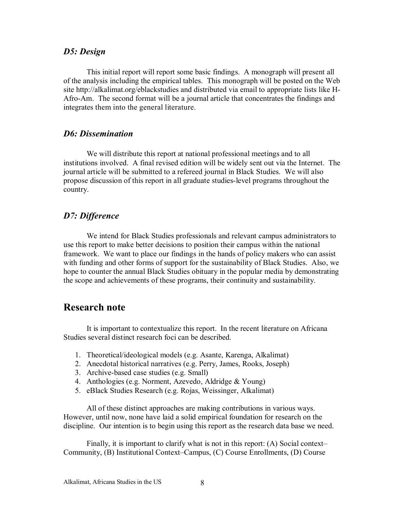### *D5: Design*

This initial report will report some basic findings. A monograph will present all of the analysis including the empirical tables. This monograph will be posted on the Web site http://alkalimat.org/eblackstudies and distributed via email to appropriate lists like H-Afro-Am. The second format will be a journal article that concentrates the findings and integrates them into the general literature.

### *D6: Dissemination*

We will distribute this report at national professional meetings and to all institutions involved. A final revised edition will be widely sent out via the Internet. The journal article will be submitted to a refereed journal in Black Studies. We will also propose discussion of this report in all graduate studies-level programs throughout the country.

### *D7: Difference*

We intend for Black Studies professionals and relevant campus administrators to use this report to make better decisions to position their campus within the national framework. We want to place our findings in the hands of policy makers who can assist with funding and other forms of support for the sustainability of Black Studies. Also, we hope to counter the annual Black Studies obituary in the popular media by demonstrating the scope and achievements of these programs, their continuity and sustainability.

### **Research note**

It is important to contextualize this report. In the recent literature on Africana Studies several distinct research foci can be described.

- 1. Theoretical/ideological models (e.g. Asante, Karenga, Alkalimat)
- 2. Anecdotal historical narratives (e.g. Perry, James, Rooks, Joseph)
- 3. Archive-based case studies (e.g. Small)
- 4. Anthologies (e.g. Norment, Azevedo, Aldridge & Young)
- 5. eBlack Studies Research (e.g. Rojas, Weissinger, Alkalimat)

All of these distinct approaches are making contributions in various ways. However, until now, none have laid a solid empirical foundation for research on the discipline. Our intention is to begin using this report as the research data base we need.

Finally, it is important to clarify what is not in this report: (A) Social context– Community, (B) Institutional Context–Campus, (C) Course Enrollments, (D) Course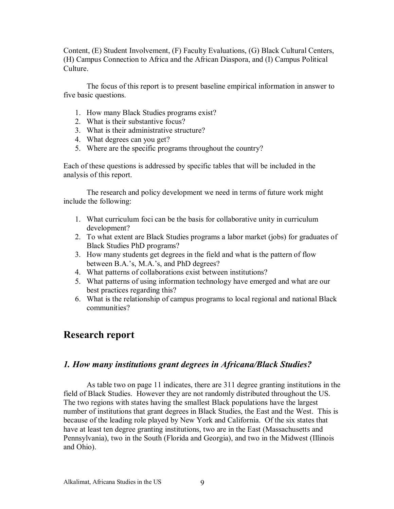Content, (E) Student Involvement, (F) Faculty Evaluations, (G) Black Cultural Centers, (H) Campus Connection to Africa and the African Diaspora, and (I) Campus Political Culture.

The focus of this report is to present baseline empirical information in answer to five basic questions.

- 1. How many Black Studies programs exist?
- 2. What is their substantive focus?
- 3. What is their administrative structure?
- 4. What degrees can you get?
- 5. Where are the specific programs throughout the country?

Each of these questions is addressed by specific tables that will be included in the analysis of this report.

The research and policy development we need in terms of future work might include the following:

- 1. What curriculum foci can be the basis for collaborative unity in curriculum development?
- 2. To what extent are Black Studies programs a labor market (jobs) for graduates of Black Studies PhD programs?
- 3. How many students get degrees in the field and what is the pattern of flow between B.A.'s, M.A.'s, and PhD degrees?
- 4. What patterns of collaborations exist between institutions?
- 5. What patterns of using information technology have emerged and what are our best practices regarding this?
- 6. What is the relationship of campus programs to local regional and national Black communities?

### **Research report**

### *1. How many institutions grant degrees in Africana/Black Studies?*

As table two on page 11 indicates, there are 311 degree granting institutions in the field of Black Studies. However they are not randomly distributed throughout the US. The two regions with states having the smallest Black populations have the largest number of institutions that grant degrees in Black Studies, the East and the West. This is because of the leading role played by New York and California. Of the six states that have at least ten degree granting institutions, two are in the East (Massachusetts and Pennsylvania), two in the South (Florida and Georgia), and two in the Midwest (Illinois and Ohio).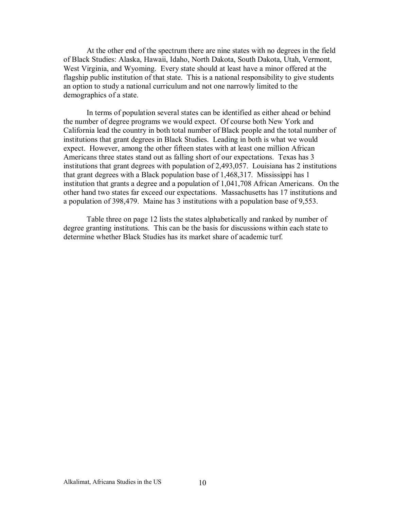At the other end of the spectrum there are nine states with no degrees in the field of Black Studies: Alaska, Hawaii, Idaho, North Dakota, South Dakota, Utah, Vermont, West Virginia, and Wyoming. Every state should at least have a minor offered at the flagship public institution of that state. This is a national responsibility to give students an option to study a national curriculum and not one narrowly limited to the demographics of a state.

In terms of population several states can be identified as either ahead or behind the number of degree programs we would expect. Of course both New York and California lead the country in both total number of Black people and the total number of institutions that grant degrees in Black Studies. Leading in both is what we would expect. However, among the other fifteen states with at least one million African Americans three states stand out as falling short of our expectations. Texas has 3 institutions that grant degrees with population of 2,493,057. Louisiana has 2 institutions that grant degrees with a Black population base of 1,468,317. Mississippi has 1 institution that grants a degree and a population of 1,041,708 African Americans. On the other hand two states far exceed our expectations. Massachusetts has 17 institutions and a population of 398,479. Maine has 3 institutions with a population base of 9,553.

Table three on page 12 lists the states alphabetically and ranked by number of degree granting institutions. This can be the basis for discussions within each state to determine whether Black Studies has its market share of academic turf.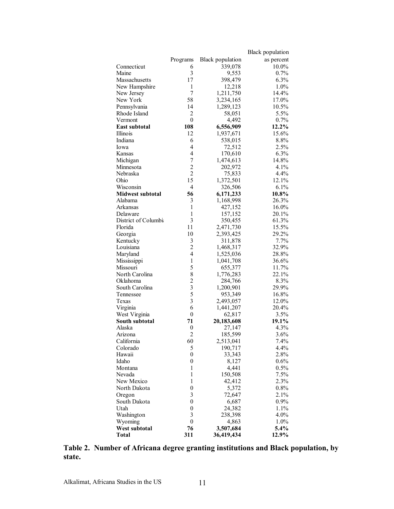|                         |                                            |                         | <b>Black population</b> |
|-------------------------|--------------------------------------------|-------------------------|-------------------------|
|                         | Programs                                   | <b>Black</b> population | as percent              |
| Connecticut             | 6                                          | 339,078                 | 10.0%                   |
| Maine                   | 3                                          | 9,553                   | 0.7%                    |
| Massachusetts           | 17                                         | 398,479                 | 6.3%                    |
| New Hampshire           | 1                                          | 12,218                  | 1.0%                    |
| New Jersey              | $\overline{7}$                             | 1,211,750               | 14.4%                   |
| New York                | 58                                         | 3,234,165               | 17.0%                   |
| Pennsylvania            | 14                                         | 1,289,123               | 10.5%                   |
| Rhode Island            | $\overline{2}$                             | 58,051                  | 5.5%                    |
| Vermont                 | $\boldsymbol{0}$                           | 4,492                   | 0.7%                    |
| <b>East subtotal</b>    | 108                                        | 6,556,909               | 12.2%                   |
| Illinois                | 12                                         | 1,937,671               | 15.6%                   |
| Indiana                 | 6                                          | 538,015                 | 8.8%                    |
| Iowa                    | 4                                          | 72,512                  | 2.5%                    |
| Kansas                  | 4                                          | 170,610                 | 6.3%                    |
| Michigan                | 7                                          | 1,474,613               | 14.8%                   |
| Minnesota               | $\overline{c}$                             | 202,972                 | 4.1%                    |
| Nebraska                | $\overline{2}$                             | 75,833                  | 4.4%                    |
| Ohio                    | 15                                         | 1,372,501               | 12.1%                   |
| Wisconsin               | 4                                          | 326,506                 | 6.1%                    |
| <b>Midwest subtotal</b> | 56                                         | 6,171,233               | 10.8%                   |
| Alabama                 | 3                                          | 1,168,998               | 26.3%                   |
| Arkansas                | $\mathbf{1}$                               | 427,152                 | 16.0%                   |
| Delaware                | $\mathbf{1}$                               | 157,152                 | 20.1%                   |
| District of Columbia    | 3                                          | 350,455                 | 61.3%                   |
| Florida                 | 11                                         | 2,471,730               | 15.5%                   |
| Georgia                 | 10                                         | 2,393,425               | 29.2%                   |
| Kentucky                | 3                                          | 311,878                 | 7.7%                    |
| Louisiana               | $\overline{c}$                             | 1,468,317               | 32.9%                   |
| Maryland                | $\overline{4}$                             | 1,525,036               | 28.8%                   |
| Mississippi             | $\,1$                                      | 1,041,708               | 36.6%                   |
| Missouri                | 5                                          | 655,377                 | 11.7%                   |
| North Carolina          | 8                                          | 1,776,283               | 22.1%                   |
| Oklahoma                |                                            | 284,766                 | 8.3%                    |
| South Carolina          | $\begin{array}{c} 2 \\ 3 \\ 5 \end{array}$ | 1,200,901               | 29.9%                   |
| Tennessee               |                                            | 953,349                 | 16.8%                   |
| Texas                   | $\overline{3}$                             | 2,493,057               | 12.0%                   |
| Virginia                | 6                                          | 1,441,207               | 20.4%                   |
| West Virginia           | $\boldsymbol{0}$                           | 62,817                  | 3.5%                    |
| South subtotal          | 71                                         | 20,183,608              | 19.1%                   |
| Alaska                  | $\boldsymbol{0}$                           | 27,147                  | 4.3%                    |
| Arizona                 | $\overline{2}$                             | 185,599                 | 3.6%                    |
| California              | 60                                         | 2,513,041               | 7.4%                    |
| Colorado                | 5                                          | 190,717                 | 4.4%                    |
| Hawaii                  | $\boldsymbol{0}$                           | 33,343                  | 2.8%                    |
| Idaho                   | $\boldsymbol{0}$                           | 8,127                   | 0.6%                    |
| Montana                 | 1                                          | 4,441                   | 0.5%                    |
| Nevada                  | $\mathbf{1}$                               | 150,508                 | 7.5%                    |
| New Mexico              | $\mathbf{1}$                               | 42,412                  | 2.3%                    |
| North Dakota            | $\boldsymbol{0}$                           | 5,372                   | 0.8%                    |
| Oregon                  | 3                                          | 72,647                  | 2.1%                    |
| South Dakota            | $\boldsymbol{0}$                           | 6,687                   | $0.9\%$                 |
| Utah                    | $\boldsymbol{0}$                           | 24,382                  | 1.1%                    |
| Washington              | 3                                          | 238,398                 | $4.0\%$                 |
| Wyoming                 | $\boldsymbol{0}$                           | 4,863                   | 1.0%                    |
| West subtotal           | 76                                         | 3,507,684               | 5.4%                    |
| <b>Total</b>            | 311                                        | 36,419,434              | 12.9%                   |

**Table 2. Number of Africana degree granting institutions and Black population, by state.**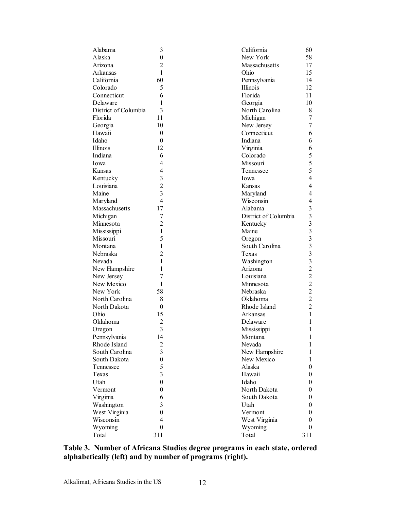| Alabama                  | 3                                | California           | 60                      |
|--------------------------|----------------------------------|----------------------|-------------------------|
| Alaska                   | $\boldsymbol{0}$                 | New York             | 58                      |
| Arizona                  | $\overline{2}$                   | Massachusetts        | 17                      |
| Arkansas                 | $\mathbf{1}$                     | Ohio                 | 15                      |
| California               | 60                               | Pennsylvania         | 14                      |
| Colorado                 | 5                                | Illinois             | 12                      |
| Connecticut              | 6                                | Florida              | 11                      |
| Delaware                 | 1                                | Georgia              | 10                      |
| District of Columbia     | 3                                | North Carolina       | 8                       |
| Florida                  | 11                               | Michigan             | 7                       |
| Georgia                  | 10                               | New Jersey           | 7                       |
| Hawaii                   | $\boldsymbol{0}$                 | Connecticut          | 6                       |
| Idaho                    | $\boldsymbol{0}$                 | Indiana              | 6                       |
| Illinois                 | 12                               | Virginia             | 6                       |
| Indiana                  | 6                                | Colorado             | 5                       |
| Iowa                     | 4                                | Missouri             | 5                       |
| Kansas                   | 4                                | Tennessee            | 5                       |
| Kentucky                 | 3                                | Iowa                 | $\overline{4}$          |
| Louisiana                | $\overline{2}$                   | Kansas               | $\overline{4}$          |
| Maine                    | $\overline{3}$                   | Maryland             | 4                       |
| Maryland                 | 4                                | Wisconsin            | 4                       |
| Massachusetts            | 17                               | Alabama              | 3                       |
| Michigan                 | 7                                | District of Columbia | 3                       |
| Minnesota                | $\overline{c}$                   | Kentucky             | $\overline{\mathbf{3}}$ |
| Mississippi              | 1                                | Maine                | $\overline{\mathbf{3}}$ |
| Missouri                 | 5                                | Oregon               | $\overline{\mathbf{3}}$ |
| Montana                  | 1                                | South Carolina       | $\overline{\mathbf{3}}$ |
| Nebraska                 | $\overline{2}$                   | Texas                | $\overline{\mathbf{3}}$ |
| Nevada                   | 1                                | Washington           | 3                       |
|                          | 1                                | Arizona              | $\overline{2}$          |
| New Hampshire            | 7                                | Louisiana            | $\overline{2}$          |
| New Jersey<br>New Mexico | 1                                | Minnesota            | $\overline{2}$          |
|                          |                                  |                      | $\overline{c}$          |
| New York                 | 58                               | Nebraska<br>Oklahoma | $\overline{2}$          |
| North Carolina           | 8                                |                      | $\overline{2}$          |
| North Dakota             | $\overline{0}$                   | Rhode Island         |                         |
| Ohio                     | 15                               | Arkansas             | 1                       |
| Oklahoma                 | $\overline{2}$<br>$\overline{3}$ | Delaware             | 1                       |
| Oregon                   |                                  | Mississippi          | 1                       |
| Pennsylvania             | 14                               | Montana              | 1                       |
| Rhode Island             | $\overline{c}$                   | Nevada               | 1                       |
| South Carolina           | 3                                | New Hampshire        | 1                       |
| South Dakota             | $\boldsymbol{0}$                 | New Mexico           | 1                       |
| Tennessee                | 5                                | Alaska               | 0                       |
| Texas                    | $\overline{3}$                   | Hawaii               | 0                       |
| Utah                     | $\boldsymbol{0}$                 | Idaho                | 0                       |
| Vermont                  | $\boldsymbol{0}$                 | North Dakota         | 0                       |
| Virginia                 | 6                                | South Dakota         | 0                       |
| Washington               | 3                                | Utah                 | 0                       |
| West Virginia            | $\boldsymbol{0}$                 | Vermont              | 0                       |
| Wisconsin                | 4                                | West Virginia        | 0                       |
| Wyoming                  | $\boldsymbol{0}$                 | Wyoming              | 0                       |
| Total                    | 311                              | Total                | 311                     |

**Table 3. Number of Africana Studies degree programs in each state, ordered alphabetically (left) and by number of programs (right).**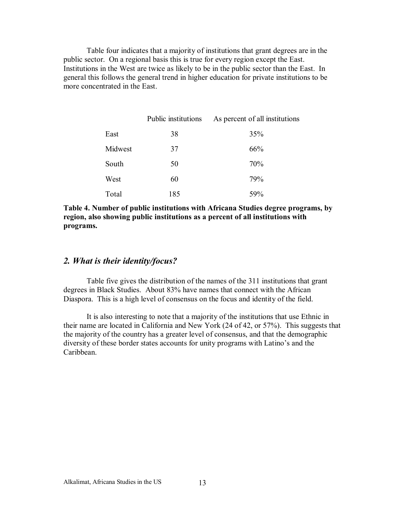Table four indicates that a majority of institutions that grant degrees are in the public sector. On a regional basis this is true for every region except the East. Institutions in the West are twice as likely to be in the public sector than the East. In general this follows the general trend in higher education for private institutions to be more concentrated in the East.

|         | Public institutions | As percent of all institutions |
|---------|---------------------|--------------------------------|
| East    | 38                  | 35%                            |
| Midwest | 37                  | 66%                            |
| South   | 50                  | 70%                            |
| West    | 60                  | 79%                            |
| Total   | 185                 | 59%                            |

**Table 4. Number of public institutions with Africana Studies degree programs, by region, also showing public institutions as a percent of all institutions with programs.** 

### *2. What is their identity/focus?*

Table five gives the distribution of the names of the 311 institutions that grant degrees in Black Studies. About 83% have names that connect with the African Diaspora. This is a high level of consensus on the focus and identity of the field.

It is also interesting to note that a majority of the institutions that use Ethnic in their name are located in California and New York (24 of 42, or 57%). This suggests that the majority of the country has a greater level of consensus, and that the demographic diversity of these border states accounts for unity programs with Latino's and the Caribbean.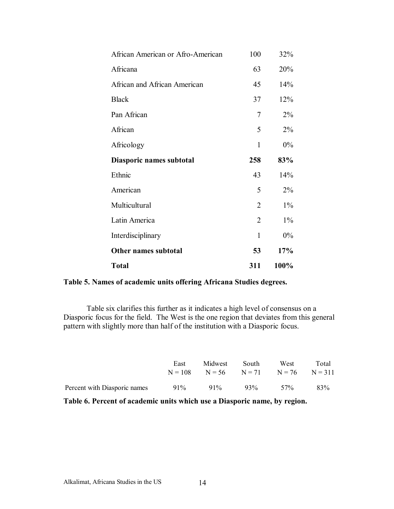| African American or Afro-American | 100            | 32%   |
|-----------------------------------|----------------|-------|
| Africana                          | 63             | 20%   |
| African and African American      | 45             | 14%   |
| <b>Black</b>                      | 37             | 12%   |
| Pan African                       | 7              | $2\%$ |
| African                           | 5              | $2\%$ |
| Africology                        | $\mathbf{1}$   | $0\%$ |
| Diasporic names subtotal          | 258            | 83%   |
| Ethnic                            | 43             | 14%   |
| American                          | 5              | $2\%$ |
| Multicultural                     | $\overline{2}$ | $1\%$ |
| Latin America                     | $\overline{2}$ | $1\%$ |
| Interdisciplinary                 | $\mathbf{1}$   | 0%    |
| Other names subtotal              | 53             | 17%   |
| <b>Total</b>                      | 311            | 100%  |

**Table 5. Names of academic units offering Africana Studies degrees.** 

Table six clarifies this further as it indicates a high level of consensus on a Diasporic focus for the field. The West is the one region that deviates from this general pattern with slightly more than half of the institution with a Diasporic focus.

|                              | East | Midwest                                        | South  | West | Total |
|------------------------------|------|------------------------------------------------|--------|------|-------|
|                              |      | $N = 108$ $N = 56$ $N = 71$ $N = 76$ $N = 311$ |        |      |       |
| Percent with Diasporic names | 91%  | $91\%$                                         | $93\%$ | 57%  | 83%   |

**Table 6. Percent of academic units which use a Diasporic name, by region.**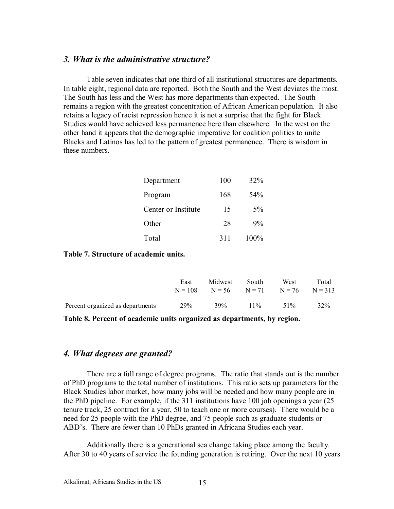### *3. What is the administrative structure?*

Table seven indicates that one third of all institutional structures are departments. In table eight, regional data are reported. Both the South and the West deviates the most. The South has less and the West has more departments than expected. The South remains a region with the greatest concentration of African American population. It also retains a legacy of racist repression hence it is not a surprise that the fight for Black Studies would have achieved less permanence here than elsewhere. In the west on the other hand it appears that the demographic imperative for coalition politics to unite Blacks and Latinos has led to the pattern of greatest permanence. There is wisdom in these numbers.

| Department          | 100 | 32%  |
|---------------------|-----|------|
| Program             | 168 | 54%  |
| Center or Institute | 15  | 5%   |
| Other               | 28  | 9%   |
| Total               | 311 | 100% |

#### **Table 7. Structure of academic units.**

|                                  | East | Midwest<br>$N = 108$ $N = 56$ $N = 71$ $N = 76$ $N = 313$ | South  | West   | Total |
|----------------------------------|------|-----------------------------------------------------------|--------|--------|-------|
| Percent organized as departments | 29%  | 39%                                                       | $11\%$ | $51\%$ | 32%   |

**Table 8. Percent of academic units organized as departments, by region.** 

### *4. What degrees are granted?*

There are a full range of degree programs. The ratio that stands out is the number of PhD programs to the total number of institutions. This ratio sets up parameters for the Black Studies labor market, how many jobs will be needed and how many people are in the PhD pipeline. For example, if the 311 institutions have 100 job openings a year (25 tenure track, 25 contract for a year, 50 to teach one or more courses). There would be a need for 25 people with the PhD degree, and 75 people such as graduate students or ABD's. There are fewer than 10 PhDs granted in Africana Studies each year.

Additionally there is a generational sea change taking place among the faculty. After 30 to 40 years of service the founding generation is retiring. Over the next 10 years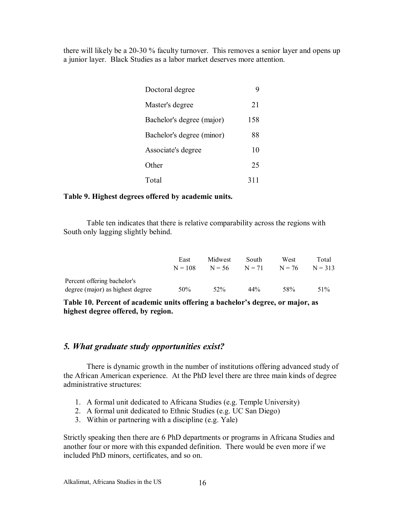there will likely be a 20-30 % faculty turnover. This removes a senior layer and opens up a junior layer. Black Studies as a labor market deserves more attention.

| Doctoral degree           |     |
|---------------------------|-----|
| Master's degree           | 21  |
| Bachelor's degree (major) | 158 |
| Bachelor's degree (minor) | 88  |
| Associate's degree        | 10  |
| Other                     | 25  |
| Total                     | 311 |

### **Table 9. Highest degrees offered by academic units.**

Table ten indicates that there is relative comparability across the regions with South only lagging slightly behind.

|                                  | East<br>$N = 108$ | Midwest<br>$N = 56$ | South<br>$N = 71$ | West<br>$N = 76$ | Total<br>$N = 313$ |
|----------------------------------|-------------------|---------------------|-------------------|------------------|--------------------|
| Percent offering bachelor's      |                   |                     |                   |                  |                    |
| degree (major) as highest degree | 50%               | $52\%$              | 44%               | 58%              | $51\%$             |

Table 10. Percent of academic units offering a bachelor's degree, or major, as **highest degree offered, by region.** 

### *5. What graduate study opportunities exist?*

There is dynamic growth in the number of institutions offering advanced study of the African American experience. At the PhD level there are three main kinds of degree administrative structures:

- 1. A formal unit dedicated to Africana Studies (e.g. Temple University)
- 2. A formal unit dedicated to Ethnic Studies (e.g. UC San Diego)
- 3. Within or partnering with a discipline (e.g. Yale)

Strictly speaking then there are 6 PhD departments or programs in Africana Studies and another four or more with this expanded definition. There would be even more if we included PhD minors, certificates, and so on.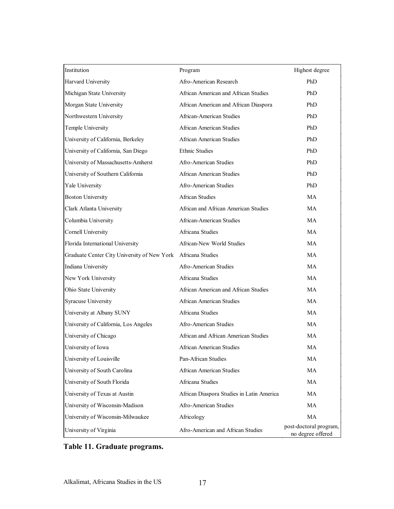| Institution                                 | Program                                   | Highest degree                              |
|---------------------------------------------|-------------------------------------------|---------------------------------------------|
| <b>Harvard University</b>                   | Afro-American Research                    | PhD                                         |
| Michigan State University                   | African American and African Studies      | PhD                                         |
| Morgan State University                     | African American and African Diaspora     | PhD                                         |
| Northwestern University                     | African-American Studies                  | PhD                                         |
| Temple University                           | African American Studies                  | PhD                                         |
| University of California, Berkeley          | <b>African American Studies</b>           | PhD                                         |
| University of California, San Diego         | <b>Ethnic Studies</b>                     | PhD                                         |
| University of Massachusetts-Amherst         | Afro-American Studies                     | PhD                                         |
| University of Southern California           | African American Studies                  | PhD                                         |
| Yale University                             | Afro-American Studies                     | PhD                                         |
| <b>Boston University</b>                    | <b>African Studies</b>                    | <b>MA</b>                                   |
| Clark Atlanta University                    | African and African American Studies      | <b>MA</b>                                   |
| Columbia University                         | African-American Studies                  | <b>MA</b>                                   |
| <b>Cornell University</b>                   | Africana Studies                          | <b>MA</b>                                   |
| Florida International University            | African-New World Studies                 | <b>MA</b>                                   |
| Graduate Center City University of New York | Africana Studies                          | <b>MA</b>                                   |
| Indiana University                          | Afro-American Studies                     | <b>MA</b>                                   |
| New York University                         | Africana Studies                          | <b>MA</b>                                   |
| Ohio State University                       | African American and African Studies      | <b>MA</b>                                   |
| <b>Syracuse University</b>                  | <b>African American Studies</b>           | <b>MA</b>                                   |
| University at Albany SUNY                   | Africana Studies                          | <b>MA</b>                                   |
| University of California, Los Angeles       | Afro-American Studies                     | <b>MA</b>                                   |
| University of Chicago                       | African and African American Studies      | <b>MA</b>                                   |
| University of Iowa                          | <b>African American Studies</b>           | <b>MA</b>                                   |
| University of Louisville                    | Pan-African Studies                       | MA                                          |
| University of South Carolina                | African American Studies                  | MA                                          |
| University of South Florida                 | Africana Studies                          | MA                                          |
| University of Texas at Austin               | African Diaspora Studies in Latin America | MA                                          |
| University of Wisconsin-Madison             | Afro-American Studies                     | MA                                          |
| University of Wisconsin-Milwaukee           | Africology                                | MA                                          |
| University of Virginia                      | Afro-American and African Studies         | post-doctoral program,<br>no degree offered |

### **Table 11. Graduate programs.**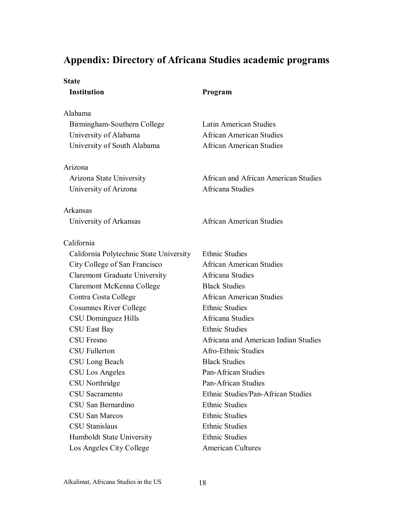### **Appendix: Directory of Africana Studies academic programs**

#### **State**

Alabama

 Birmingham-Southern College Latin American Studies University of Alabama African American Studies University of South Alabama African American Studies

### Arizona

University of Arizona **Africana** Studies

Arkansas

### California

 California Polytechnic State University Ethnic Studies City College of San Francisco African American Studies Claremont Graduate University Africana Studies Claremont McKenna College Black Studies Contra Costa College African American Studies Cosumnes River College Ethnic Studies CSU Dominguez Hills Africana Studies CSU East Bay Ethnic Studies CSU Fullerton Afro-Ethnic Studies CSU Long Beach Black Studies CSU Los Angeles Pan-African Studies CSU Northridge Pan-African Studies CSU Sacramento Ethnic Studies/Pan-African Studies CSU San Bernardino Ethnic Studies CSU San Marcos Ethnic Studies CSU Stanislaus Ethnic Studies Humboldt State University Ethnic Studies Los Angeles City College American Cultures

### **Institution Program**

Arizona State University African and African American Studies

University of Arkansas African American Studies

CSU Fresno Africana and American Indian Studies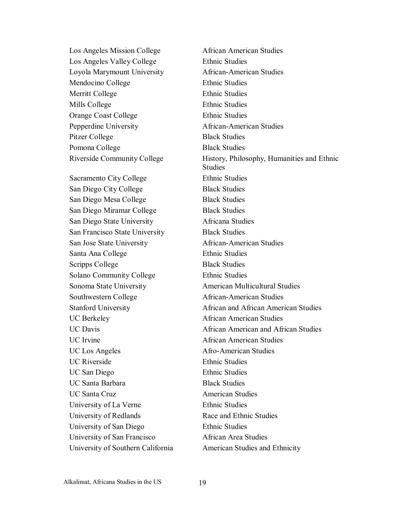Los Angeles Mission College African American Studies Los Angeles Valley College Ethnic Studies Loyola Marymount University African-American Studies Mendocino College Ethnic Studies Merritt College Ethnic Studies Mills College Ethnic Studies Orange Coast College Ethnic Studies Pepperdine University African-American Studies Pitzer College Black Studies Pomona College Black Studies

Sacramento City College Ethnic Studies San Diego City College Black Studies San Diego Mesa College Black Studies San Diego Miramar College Black Studies San Diego State University Africana Studies San Francisco State University Black Studies San Jose State University African-American Studies Santa Ana College Ethnic Studies Scripps College Black Studies Solano Community College Ethnic Studies Sonoma State University **American Multicultural Studies** Southwestern College African-American Studies UC Berkeley **African American Studies** UC Irvine **African American Studies** UC Los Angeles Afro-American Studies UC Riverside Ethnic Studies UC San Diego Ethnic Studies UC Santa Barbara **Black Studies** UC Santa Cruz **American Studies** University of La Verne Ethnic Studies University of Redlands Race and Ethnic Studies University of San Diego Ethnic Studies University of San Francisco African Area Studies University of Southern California American Studies and Ethnicity

Riverside Community College History, Philosophy, Humanities and Ethnic **Studies**  Stanford University African and African American Studies UC Davis **Example 2 1 1 African American and African Studies**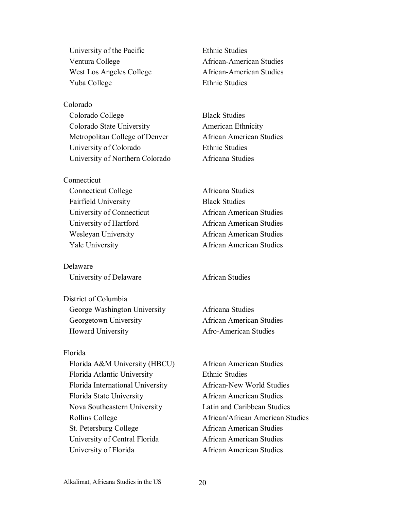University of the Pacific Ethnic Studies Ventura College **African-American Studies** West Los Angeles College African-American Studies Yuba College Ethnic Studies

Colorado Colorado College Black Studies Colorado State University American Ethnicity Metropolitan College of Denver African American Studies University of Colorado Ethnic Studies University of Northern Colorado Africana Studies

**Connecticut** Connecticut College Africana Studies Fairfield University Black Studies

Delaware University of Delaware **African Studies** 

District of Columbia George Washington University Africana Studies Georgetown University African American Studies Howard University **Afro-American Studies** 

### Florida

Florida A&M University (HBCU) African American Studies Florida Atlantic University Ethnic Studies Florida International University African-New World Studies Florida State University **African American Studies**  Nova Southeastern University Latin and Caribbean Studies St. Petersburg College African American Studies University of Central Florida African American Studies University of Florida African American Studies

 University of Connecticut African American Studies University of Hartford African American Studies Wesleyan University African American Studies Yale University African American Studies

Rollins College **African**/African American Studies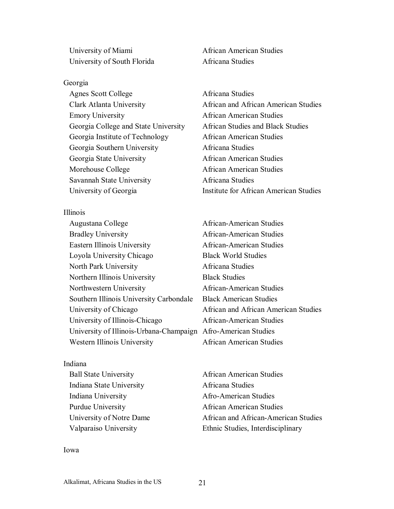University of Miami African American Studies University of South Florida Africana Studies

#### Georgia

Agnes Scott College **Africana** Studies Emory University African American Studies Georgia College and State University African Studies and Black Studies Georgia Institute of Technology African American Studies Georgia Southern University Africana Studies Georgia State University African American Studies Morehouse College **African American Studies** Savannah State University Africana Studies

Illinois

Augustana College African-American Studies Bradley University **African-American Studies**  Eastern Illinois University African-American Studies Loyola University Chicago Black World Studies North Park University Africana Studies Northern Illinois University Black Studies Northwestern University African-American Studies Southern Illinois University Carbondale Black American Studies University of Chicago African and African American Studies University of Illinois-Chicago African-American Studies University of Illinois-Urbana-Champaign Afro-American Studies Western Illinois University African American Studies

#### Indiana

 Indiana State University Africana Studies Indiana University Afro-American Studies

 Clark Atlanta University African and African American Studies University of Georgia Institute for African American Studies

Ball State University **African American Studies** Purdue University **African American Studies** University of Notre Dame African and African-American Studies Valparaiso University Ethnic Studies, Interdisciplinary

#### Iowa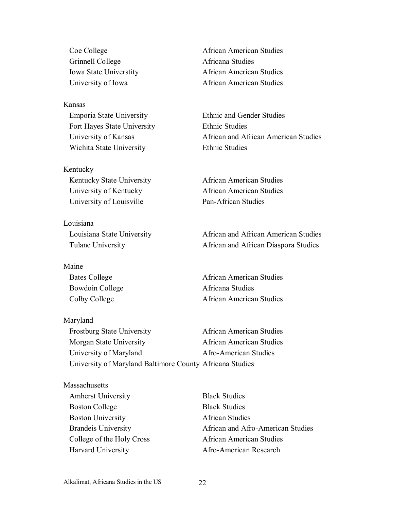Grinnell College Africana Studies

Kansas Emporia State University Ethnic and Gender Studies Fort Hayes State University Ethnic Studies Wichita State University **Ethnic Studies** 

Kentucky Kentucky State University **African American Studies**  University of Kentucky African American Studies University of Louisville Pan-African Studies

Louisiana

Maine

Maryland

Coe College **African American Studies**  Iowa State Universtity African American Studies University of Iowa African American Studies

University of Kansas African and African American Studies

 Louisiana State University African and African American Studies Tulane University African and African Diaspora Studies

Bates College **African American Studies** Bowdoin College **Africana** Studies Colby College **African American Studies** 

 Frostburg State University African American Studies Morgan State University African American Studies University of Maryland Afro-American Studies University of Maryland Baltimore County Africana Studies

**Massachusetts** 

 Amherst University Black Studies Boston College Black Studies Boston University **African Studies** 

Brandeis University **African and Afro-American Studies** College of the Holy Cross African American Studies Harvard University Afro-American Research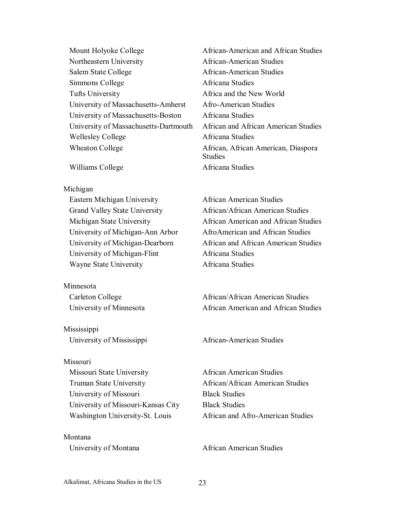Mount Holyoke College **African-American and African Studies**  Northeastern University African-American Studies Salem State College African-American Studies Simmons College Africana Studies Tufts University Africa and the New World University of Massachusetts-Amherst Afro-American Studies University of Massachusetts-Boston Africana Studies University of Massachusetts-Dartmouth African and African American Studies Wellesley College **Africana** Studies Wheaton College **African, African American, Diaspora** 

Williams College **Africana** Studies

#### Michigan

 Eastern Michigan University African American Studies Grand Valley State University African/African American Studies University of Michigan-Ann Arbor AfroAmerican and African Studies University of Michigan-Flint Africana Studies Wayne State University **Africana Studies** 

Minnesota

Mississippi University of Mississippi African-American Studies

#### Missouri

 Missouri State University African American Studies Truman State University **African**/African American Studies University of Missouri Black Studies University of Missouri-Kansas City Black Studies

Montana

**Studies** 

 Michigan State University African American and African Studies University of Michigan-Dearborn African and African American Studies

Carleton College **African**/African American Studies University of Minnesota **African American and African Studies** 

Washington University-St. Louis African and Afro-American Studies

University of Montana African American Studies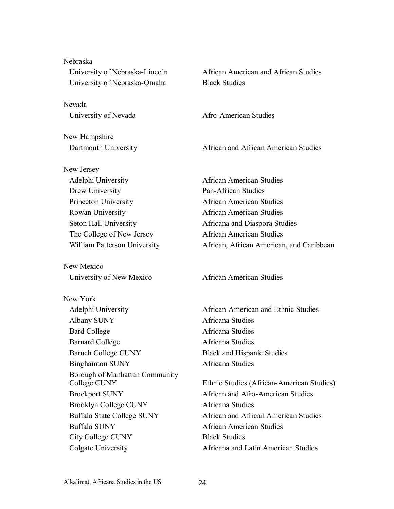| University of Nebraska-Lincoln<br>University of Nebraska-Omaha |
|----------------------------------------------------------------|
| Nevada                                                         |
| University of Nevada                                           |
| New Hampshire                                                  |
| Dartmouth University                                           |
| New Jersey                                                     |
| Adelphi University                                             |
| Drew University                                                |
| Princeton University                                           |
| Rowan University                                               |
| Seton Hall University                                          |
| The College of New Jersey                                      |
| William Patterson University                                   |
| New Mexico                                                     |
| University of New Mexico                                       |
| New York                                                       |
| Adelphi University                                             |
| Albany SUNY                                                    |
| <b>Bard College</b>                                            |
| <b>Barnard College</b>                                         |
| <b>Baruch College CUNY</b>                                     |
| <b>Binghamton SUNY</b>                                         |
| Borough of Manhattan Community<br>College CUNY                 |
| <b>Brockport SUNY</b>                                          |
| <b>Brooklyn College CUNY</b>                                   |
| <b>Buffalo State College SUNY</b>                              |
| <b>Buffalo SUNY</b>                                            |
| City College CUNY                                              |
| Colgate University                                             |

Nebraska

African American and African Studies **Black Studies** 

Afro-American Studies

African and African American Studies

African American Studies Pan-African Studies African American Studies African American Studies Africana and Diaspora Studies African American Studies African, African American, and Caribbean

African American Studies

African-American and Ethnic Studies Africana Studies Africana Studies Africana Studies Black and Hispanic Studies Africana Studies

Ethnic Studies (African-American Studies) African and Afro-American Studies Africana Studies African and African American Studies African American Studies **Black Studies** Africana and Latin American Studies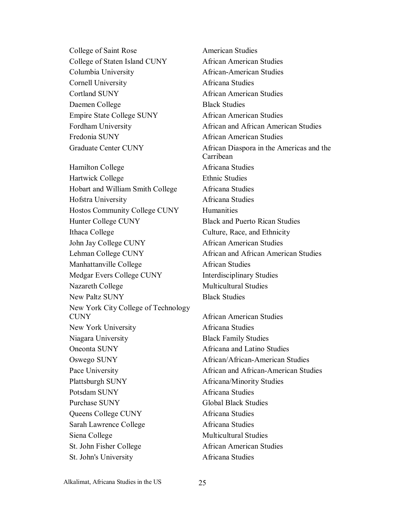College of Saint Rose American Studies College of Staten Island CUNY African American Studies Columbia University African-American Studies Cornell University Africana Studies Cortland SUNY African American Studies Daemen College Black Studies Empire State College SUNY African American Studies Fordham University **African and African American Studies** Fredonia SUNY **African American Studies** Hamilton College **Africana** Studies Hartwick College Ethnic Studies Hobart and William Smith College Africana Studies Hofstra University Africana Studies Hostos Community College CUNY Humanities Hunter College CUNY Black and Puerto Rican Studies Ithaca College Culture, Race, and Ethnicity John Jay College CUNY African American Studies Lehman College CUNY African and African American Studies Manhattanville College African Studies Medgar Evers College CUNY Interdisciplinary Studies Nazareth College Multicultural Studies New Paltz SUNY Black Studies New York City College of Technology CUNY African American Studies New York University **Africana Studies**  Niagara University Black Family Studies Oneonta SUNY Africana and Latino Studies Oswego SUNY African/African-American Studies Pace University **African and African-American Studies** Plattsburgh SUNY Africana/Minority Studies Potsdam SUNY Africana Studies Purchase SUNY Global Black Studies Queens College CUNY Africana Studies Sarah Lawrence College Africana Studies Siena College Multicultural Studies St. John Fisher College African American Studies St. John's University Africana Studies

 Graduate Center CUNY African Diaspora in the Americas and the Carribean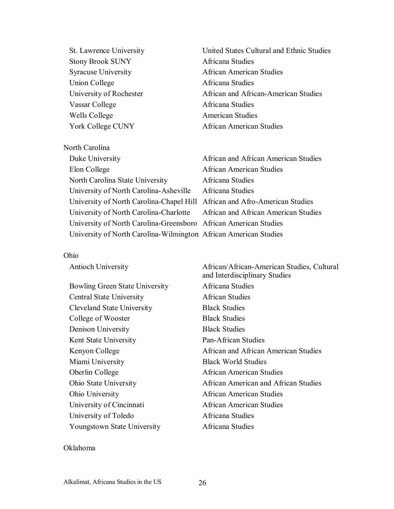Stony Brook SUNY Africana Studies Union College Africana Studies Vassar College Africana Studies Wells College **American Studies** 

North Carolina

 St. Lawrence University United States Cultural and Ethnic Studies Syracuse University African American Studies University of Rochester African and African-American Studies York College CUNY African American Studies

| Duke University                                                             | African and African American Studies |
|-----------------------------------------------------------------------------|--------------------------------------|
| Elon College                                                                | <b>African American Studies</b>      |
| North Carolina State University                                             | Africana Studies                     |
| University of North Carolina-Asheville                                      | Africana Studies                     |
| University of North Carolina-Chapel Hill African and Afro-American Studies  |                                      |
| University of North Carolina-Charlotte African and African American Studies |                                      |
| University of North Carolina-Greensboro African American Studies            |                                      |
| University of North Carolina-Wilmington African American Studies            |                                      |

#### Ohio

| <b>Antioch University</b>             | African/African-American Studies, Cultural<br>and Interdisciplinary Studies |
|---------------------------------------|-----------------------------------------------------------------------------|
| <b>Bowling Green State University</b> | Africana Studies                                                            |
| <b>Central State University</b>       | African Studies                                                             |
| Cleveland State University            | <b>Black Studies</b>                                                        |
| College of Wooster                    | <b>Black Studies</b>                                                        |
| Denison University                    | <b>Black Studies</b>                                                        |
| Kent State University                 | Pan-African Studies                                                         |
| Kenyon College                        | African and African American Studies                                        |
| Miami University                      | <b>Black World Studies</b>                                                  |
| Oberlin College                       | African American Studies                                                    |
| Ohio State University                 | African American and African Studies                                        |
| Ohio University                       | African American Studies                                                    |
| University of Cincinnati              | African American Studies                                                    |
| University of Toledo                  | Africana Studies                                                            |
| Youngstown State University           | Africana Studies                                                            |

### Oklahoma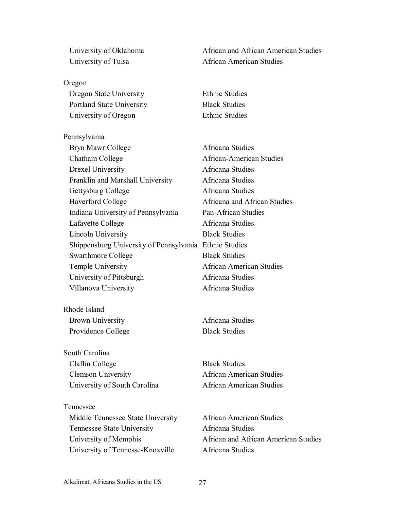Oregon Oregon State University Ethnic Studies Portland State University Black Studies University of Oregon Ethnic Studies

Pennsylvania Bryn Mawr College **Africana** Studies Chatham College African-American Studies Drexel University Africana Studies Franklin and Marshall University Africana Studies Gettysburg College **Africana** Studies Haverford College **Africana** and African Studies Indiana University of Pennsylvania Pan-African Studies Lafayette College **Africana** Studies Lincoln University Black Studies Shippensburg University of Pennsylvania Ethnic Studies Swarthmore College Black Studies Temple University African American Studies University of Pittsburgh Africana Studies Villanova University Africana Studies

Rhode Island Brown University **Africana Studies** Providence College Black Studies

South Carolina Claflin College Black Studies Clemson University African American Studies University of South Carolina **African American Studies** 

Tennessee Middle Tennessee State University African American Studies Tennessee State University Africana Studies University of Tennesse-Knoxville Africana Studies

University of Oklahoma African and African American Studies University of Tulsa African American Studies

University of Memphis African and African American Studies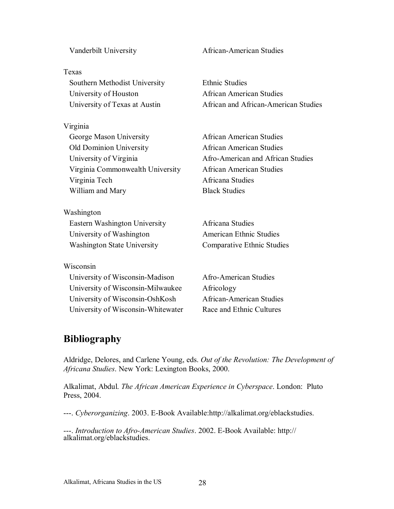#### Alkalimat, Africana Studies in the US 28

#### Texas

 Southern Methodist University Ethnic Studies University of Houston **African American Studies** 

#### Virginia

George Mason University **African American Studies**  Old Dominion University African American Studies University of Virginia Afro-American and African Studies Virginia Commonwealth University African American Studies Virginia Tech Africana Studies William and Mary Black Studies

Washington Eastern Washington University Africana Studies University of Washington American Ethnic Studies

#### Wisconsin

 University of Wisconsin-Madison Afro-American Studies University of Wisconsin-Milwaukee Africology University of Wisconsin-OshKosh African-American Studies University of Wisconsin-Whitewater Race and Ethnic Cultures

Vanderbilt University **African-American Studies** 

University of Texas at Austin African and African-American Studies

Washington State University Comparative Ethnic Studies

### **Bibliography**

Aldridge, Delores, and Carlene Young, eds. *Out of the Revolution: The Development of Africana Studies*. New York: Lexington Books, 2000.

Alkalimat, Abdul. *The African American Experience in Cyberspace*. London: Pluto Press, 2004.

---. *Cyberorganizing*. 2003. E-Book Available:http://alkalimat.org/eblackstudies.

---. *Introduction to Afro-American Studies*. 2002. E-Book Available: http:// alkalimat.org/eblackstudies.